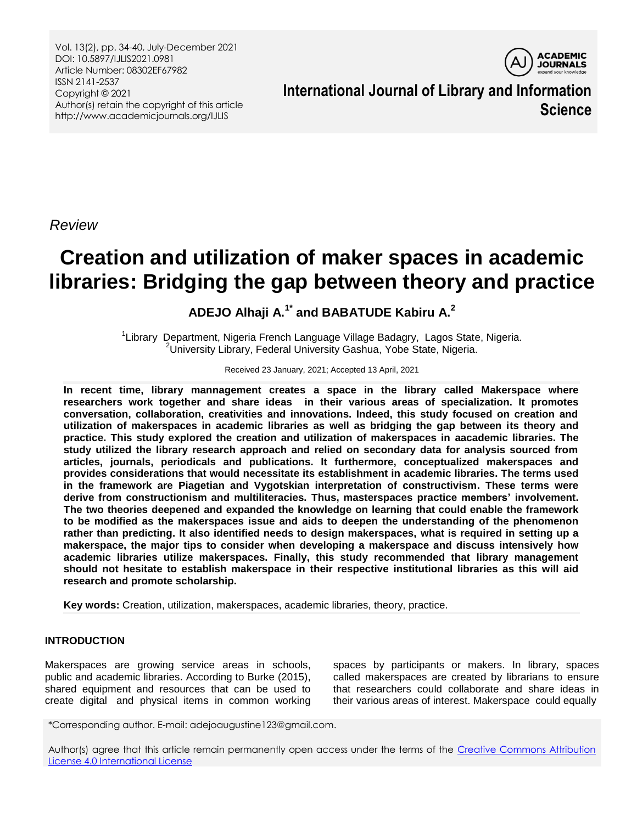Vol. 13(2), pp. 34-40, July-December 2021 DOI: 10.5897/IJLIS2021.0981 Article Number: 08302EF67982 ISSN 2141-2537 Copyright © 2021 Author(s) retain the copyright of this article http://www.academicjournals.org/IJLIS



**International Journal of Library and Information Science**

*Review*

# **Creation and utilization of maker spaces in academic libraries: Bridging the gap between theory and practice**

# **ADEJO Alhaji A.1\* and BABATUDE Kabiru A.<sup>2</sup>**

<sup>1</sup>Library Department, Nigeria French Language Village Badagry, Lagos State, Nigeria. <sup>2</sup>University Library, Federal University Gashua, Yobe State, Nigeria.

#### Received 23 January, 2021; Accepted 13 April, 2021

**In recent time, library mannagement creates a space in the library called Makerspace where researchers work together and share ideas in their various areas of specialization. It promotes conversation, collaboration, creativities and innovations. Indeed, this study focused on creation and utilization of makerspaces in academic libraries as well as bridging the gap between its theory and practice. This study explored the creation and utilization of makerspaces in aacademic libraries. The study utilized the library research approach and relied on secondary data for analysis sourced from articles, journals, periodicals and publications. It furthermore, conceptualized makerspaces and provides considerations that would necessitate its establishment in academic libraries. The terms used in the framework are Piagetian and Vygotskian interpretation of constructivism. These terms were derive from constructionism and multiliteracies. Thus, masterspaces practice members' involvement. The two theories deepened and expanded the knowledge on learning that could enable the framework to be modified as the makerspaces issue and aids to deepen the understanding of the phenomenon rather than predicting. It also identified needs to design makerspaces, what is required in setting up a makerspace, the major tips to consider when developing a makerspace and discuss intensively how academic libraries utilize makerspaces. Finally, this study recommended that library management should not hesitate to establish makerspace in their respective institutional libraries as this will aid research and promote scholarship.**

**Key words:** Creation, utilization, makerspaces, academic libraries, theory, practice.

### **INTRODUCTION**

Makerspaces are growing service areas in schools, public and academic libraries. According to Burke (2015), shared equipment and resources that can be used to create digital and physical items in common working

spaces by participants or makers. In library, spaces called makerspaces are created by librarians to ensure that researchers could collaborate and share ideas in their various areas of interest. Makerspace could equally

\*Corresponding author. E-mail: adejoaugustine123@gmail.com.

Author(s) agree that this article remain permanently open access under the terms of the Creative Commons Attribution [License 4.0 International License](http://creativecommons.org/licenses/by/4.0/deed.en_US)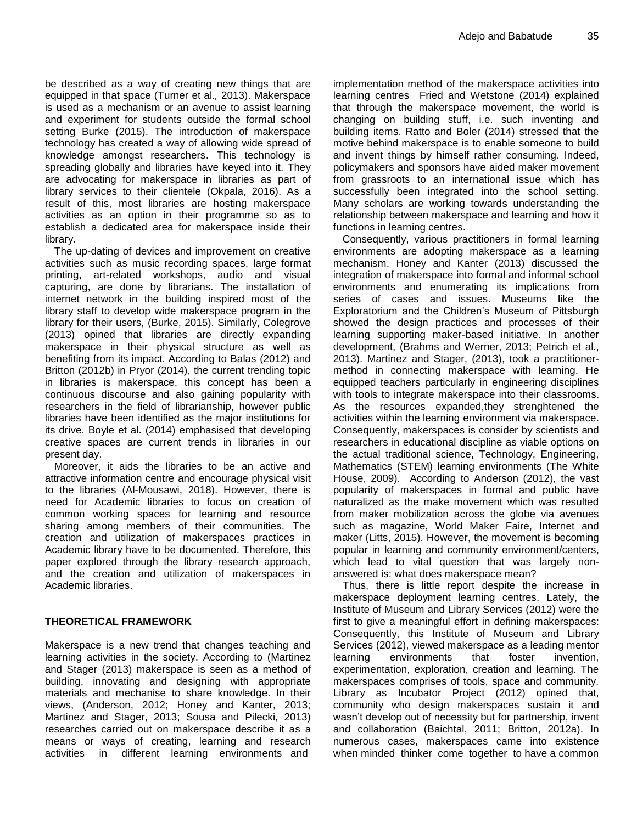be described as a way of creating new things that are equipped in that space (Turner et al.*,* 2013). Makerspace is used as a mechanism or an avenue to assist learning and experiment for students outside the formal school setting Burke (2015). The introduction of makerspace technology has created a way of allowing wide spread of knowledge amongst researchers. This technology is spreading globally and libraries have keyed into it. They are advocating for makerspace in libraries as part of library services to their clientele (Okpala, 2016). As a result of this, most libraries are hosting makerspace activities as an option in their programme so as to establish a dedicated area for makerspace inside their library.

The up-dating of devices and improvement on creative activities such as music recording spaces, large format printing, art-related workshops, audio and visual capturing, are done by librarians. The installation of internet network in the building inspired most of the library staff to develop wide makerspace program in the library for their users, (Burke, 2015). Similarly, Colegrove (2013) opined that libraries are directly expanding makerspace in their physical structure as well as benefiting from its impact. According to Balas (2012) and Britton (2012b) in Pryor (2014), the current trending topic in libraries is makerspace, this concept has been a continuous discourse and also gaining popularity with researchers in the field of librarianship, however public libraries have been identified as the major institutions for its drive. Boyle et al. (2014) emphasised that developing creative spaces are current trends in libraries in our present day.

Moreover, it aids the libraries to be an active and attractive information centre and encourage physical visit to the libraries (Al-Mousawi, 2018). However, there is need for Academic libraries to focus on creation of common working spaces for learning and resource sharing among members of their communities. The creation and utilization of makerspaces practices in Academic library have to be documented. Therefore, this paper explored through the library research approach, and the creation and utilization of makerspaces in Academic libraries.

#### **THEORETICAL FRAMEWORK**

Makerspace is a new trend that changes teaching and learning activities in the society. According to (Martinez and Stager (2013) makerspace is seen as a method of building, innovating and designing with appropriate materials and mechanise to share knowledge. In their views, (Anderson, 2012; Honey and Kanter, 2013; Martinez and Stager, 2013; Sousa and Pilecki, 2013) researches carried out on makerspace describe it as a means or ways of creating, learning and research activities in different learning environments and

implementation method of the makerspace activities into learning centres Fried and Wetstone (2014) explained that through the makerspace movement, the world is changing on building stuff, i.e. such inventing and building items. Ratto and Boler (2014) stressed that the motive behind makerspace is to enable someone to build and invent things by himself rather consuming. Indeed, policymakers and sponsors have aided maker movement from grassroots to an international issue which has successfully been integrated into the school setting. Many scholars are working towards understanding the relationship between makerspace and learning and how it functions in learning centres.

Consequently, various practitioners in formal learning environments are adopting makerspace as a learning mechanism. Honey and Kanter (2013) discussed the integration of makerspace into formal and informal school environments and enumerating its implications from series of cases and issues. Museums like the Exploratorium and the Children"s Museum of Pittsburgh showed the design practices and processes of their learning supporting maker-based initiative. In another development, (Brahms and Werner, 2013; Petrich et al., 2013). Martinez and Stager, (2013), took a practitionermethod in connecting makerspace with learning. He equipped teachers particularly in engineering disciplines with tools to integrate makerspace into their classrooms. As the resources expanded,they strenghtened the activities within the learning environment via makerspace. Consequently, makerspaces is consider by scientists and researchers in educational discipline as viable options on the actual traditional science, Technology, Engineering, Mathematics (STEM) learning environments (The White House, 2009). According to Anderson (2012), the vast popularity of makerspaces in formal and public have naturalized as the make movement which was resulted from maker mobilization across the globe via avenues such as magazine, World Maker Faire, Internet and maker (Litts, 2015). However, the movement is becoming popular in learning and community environment/centers, which lead to vital question that was largely nonanswered is: what does makerspace mean?

Thus, there is little report despite the increase in makerspace deployment learning centres. Lately, the Institute of Museum and Library Services (2012) were the first to give a meaningful effort in defining makerspaces: Consequently, this Institute of Museum and Library Services (2012), viewed makerspace as a leading mentor learning environments that foster invention, experimentation, exploration, creation and learning. The makerspaces comprises of tools, space and community. Library as Incubator Project (2012) opined that, community who design makerspaces sustain it and wasn"t develop out of necessity but for partnership, invent and collaboration (Baichtal, 2011; Britton, 2012a). In numerous cases, makerspaces came into existence when minded thinker come together to have a common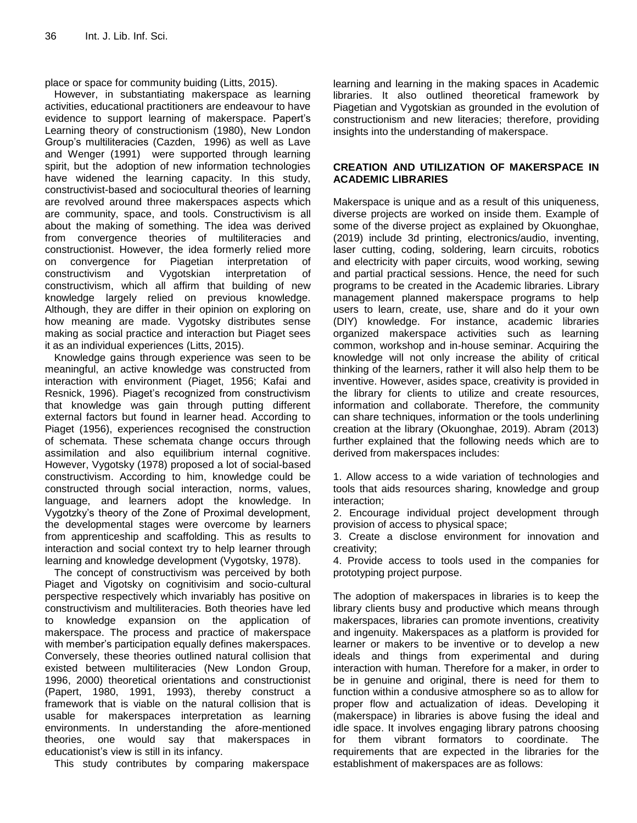place or space for community buiding (Litts, 2015).

However, in substantiating makerspace as learning activities, educational practitioners are endeavour to have evidence to support learning of makerspace. Papert"s Learning theory of constructionism (1980), New London Group"s multiliteracies (Cazden, 1996) as well as Lave and Wenger (1991) were supported through learning spirit, but the adoption of new information technologies have widened the learning capacity. In this study, constructivist-based and sociocultural theories of learning are revolved around three makerspaces aspects which are community, space, and tools. Constructivism is all about the making of something. The idea was derived from convergence theories of multiliteracies and constructionist. However, the idea formerly relied more on convergence for Piagetian interpretation of constructivism and Vygotskian interpretation of constructivism, which all affirm that building of new knowledge largely relied on previous knowledge. Although, they are differ in their opinion on exploring on how meaning are made. Vygotsky distributes sense making as social practice and interaction but Piaget sees it as an individual experiences (Litts, 2015).

Knowledge gains through experience was seen to be meaningful, an active knowledge was constructed from interaction with environment (Piaget, 1956; Kafai and Resnick, 1996). Piaget's recognized from constructivism that knowledge was gain through putting different external factors but found in learner head. According to Piaget (1956), experiences recognised the construction of schemata. These schemata change occurs through assimilation and also equilibrium internal cognitive. However, Vygotsky (1978) proposed a lot of social-based constructivism. According to him, knowledge could be constructed through social interaction, norms, values, language, and learners adopt the knowledge. In Vygotzky"s theory of the Zone of Proximal development, the developmental stages were overcome by learners from apprenticeship and scaffolding. This as results to interaction and social context try to help learner through learning and knowledge development (Vygotsky, 1978).

The concept of constructivism was perceived by both Piaget and Vigotsky on cognitivisim and socio-cultural perspective respectively which invariably has positive on constructivism and multiliteracies. Both theories have led to knowledge expansion on the application of makerspace. The process and practice of makerspace with member's participation equally defines makerspaces. Conversely, these theories outlined natural collision that existed between multiliteracies (New London Group, 1996, 2000) theoretical orientations and constructionist (Papert, 1980, 1991, 1993), thereby construct a framework that is viable on the natural collision that is usable for makerspaces interpretation as learning environments. In understanding the afore-mentioned theories, one would say that makerspaces in educationist"s view is still in its infancy.

This study contributes by comparing makerspace

learning and learning in the making spaces in Academic libraries. It also outlined theoretical framework by Piagetian and Vygotskian as grounded in the evolution of constructionism and new literacies; therefore, providing insights into the understanding of makerspace.

## **CREATION AND UTILIZATION OF MAKERSPACE IN ACADEMIC LIBRARIES**

Makerspace is unique and as a result of this uniqueness, diverse projects are worked on inside them. Example of some of the diverse project as explained by Okuonghae, (2019) include 3d printing, electronics/audio, inventing, laser cutting, coding, soldering, learn circuits, robotics and electricity with paper circuits, wood working, sewing and partial practical sessions. Hence, the need for such programs to be created in the Academic libraries. Library management planned makerspace programs to help users to learn, create, use, share and do it your own (DIY) knowledge. For instance, academic libraries organized makerspace activities such as learning common, workshop and in-house seminar. Acquiring the knowledge will not only increase the ability of critical thinking of the learners, rather it will also help them to be inventive. However, asides space, creativity is provided in the library for clients to utilize and create resources, information and collaborate. Therefore, the community can share techniques, information or the tools underlining creation at the library (Okuonghae, 2019). Abram (2013) further explained that the following needs which are to derived from makerspaces includes:

1. Allow access to a wide variation of technologies and tools that aids resources sharing, knowledge and group interaction;

2. Encourage individual project development through provision of access to physical space;

3. Create a disclose environment for innovation and creativity;

4. Provide access to tools used in the companies for prototyping project purpose.

The adoption of makerspaces in libraries is to keep the library clients busy and productive which means through makerspaces, libraries can promote inventions, creativity and ingenuity. Makerspaces as a platform is provided for learner or makers to be inventive or to develop a new ideals and things from experimental and during interaction with human. Therefore for a maker, in order to be in genuine and original, there is need for them to function within a condusive atmosphere so as to allow for proper flow and actualization of ideas. Developing it (makerspace) in libraries is above fusing the ideal and idle space. It involves engaging library patrons choosing for them vibrant formators to coordinate. The requirements that are expected in the libraries for the establishment of makerspaces are as follows: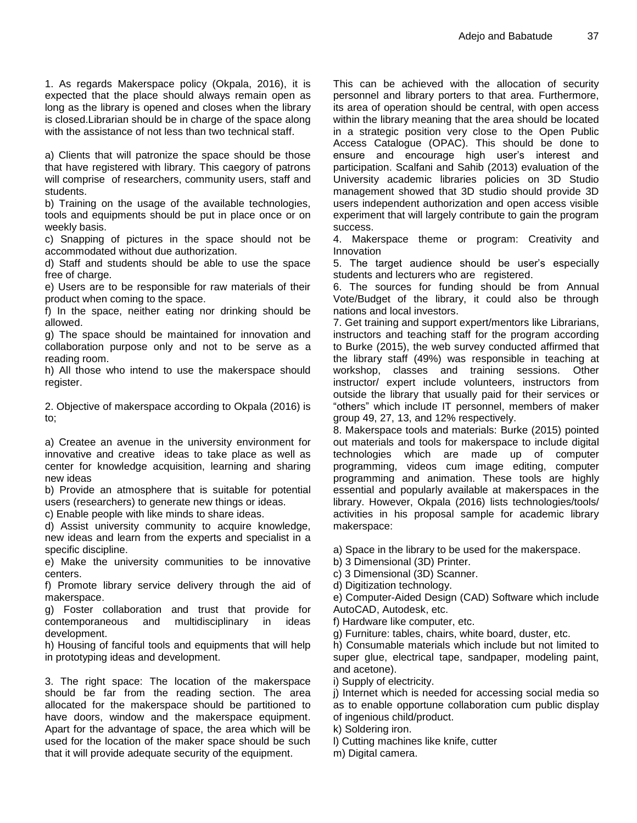1. As regards Makerspace policy (Okpala, 2016), it is expected that the place should always remain open as long as the library is opened and closes when the library is closed.Librarian should be in charge of the space along with the assistance of not less than two technical staff.

a) Clients that will patronize the space should be those that have registered with library. This caegory of patrons will comprise of researchers, community users, staff and students.

b) Training on the usage of the available technologies, tools and equipments should be put in place once or on weekly basis.

c) Snapping of pictures in the space should not be accommodated without due authorization.

d) Staff and students should be able to use the space free of charge.

e) Users are to be responsible for raw materials of their product when coming to the space.

f) In the space, neither eating nor drinking should be allowed.

g) The space should be maintained for innovation and collaboration purpose only and not to be serve as a reading room.

h) All those who intend to use the makerspace should register.

2. Objective of makerspace according to Okpala (2016) is to;

a) Createe an avenue in the university environment for innovative and creative ideas to take place as well as center for knowledge acquisition, learning and sharing new ideas

b) Provide an atmosphere that is suitable for potential users (researchers) to generate new things or ideas.

c) Enable people with like minds to share ideas.

d) Assist university community to acquire knowledge, new ideas and learn from the experts and specialist in a specific discipline.

e) Make the university communities to be innovative centers.

f) Promote library service delivery through the aid of makerspace.

g) Foster collaboration and trust that provide for contemporaneous and multidisciplinary in ideas development.

h) Housing of fanciful tools and equipments that will help in prototyping ideas and development.

3. The right space: The location of the makerspace should be far from the reading section. The area allocated for the makerspace should be partitioned to have doors, window and the makerspace equipment. Apart for the advantage of space, the area which will be used for the location of the maker space should be such that it will provide adequate security of the equipment.

This can be achieved with the allocation of security personnel and library porters to that area. Furthermore, its area of operation should be central, with open access within the library meaning that the area should be located in a strategic position very close to the Open Public Access Catalogue (OPAC). This should be done to ensure and encourage high user"s interest and participation. Scalfani and Sahib (2013) evaluation of the University academic libraries policies on 3D Studio management showed that 3D studio should provide 3D users independent authorization and open access visible experiment that will largely contribute to gain the program success.

4. Makerspace theme or program: Creativity and Innovation

5. The target audience should be user"s especially students and lecturers who are registered.

6. The sources for funding should be from Annual Vote/Budget of the library, it could also be through nations and local investors.

7. Get training and support expert/mentors like Librarians, instructors and teaching staff for the program according to Burke (2015), the web survey conducted affirmed that the library staff (49%) was responsible in teaching at workshop, classes and training sessions. Other instructor/ expert include volunteers, instructors from outside the library that usually paid for their services or "others" which include IT personnel, members of maker group 49, 27, 13, and 12% respectively.

8. Makerspace tools and materials: Burke (2015) pointed out materials and tools for makerspace to include digital technologies which are made up of computer programming, videos cum image editing, computer programming and animation. These tools are highly essential and popularly available at makerspaces in the library. However, Okpala (2016) lists technologies/tools/ activities in his proposal sample for academic library makerspace:

a) Space in the library to be used for the makerspace.

b) 3 Dimensional (3D) Printer.

c) 3 Dimensional (3D) Scanner.

d) Digitization technology.

e) Computer-Aided Design (CAD) Software which include AutoCAD, Autodesk, etc.

f) Hardware like computer, etc.

g) Furniture: tables, chairs, white board, duster, etc.

h) Consumable materials which include but not limited to super glue, electrical tape, sandpaper, modeling paint, and acetone).

i) Supply of electricity.

j) Internet which is needed for accessing social media so as to enable opportune collaboration cum public display of ingenious child/product.

k) Soldering iron.

l) Cutting machines like knife, cutter

m) Digital camera.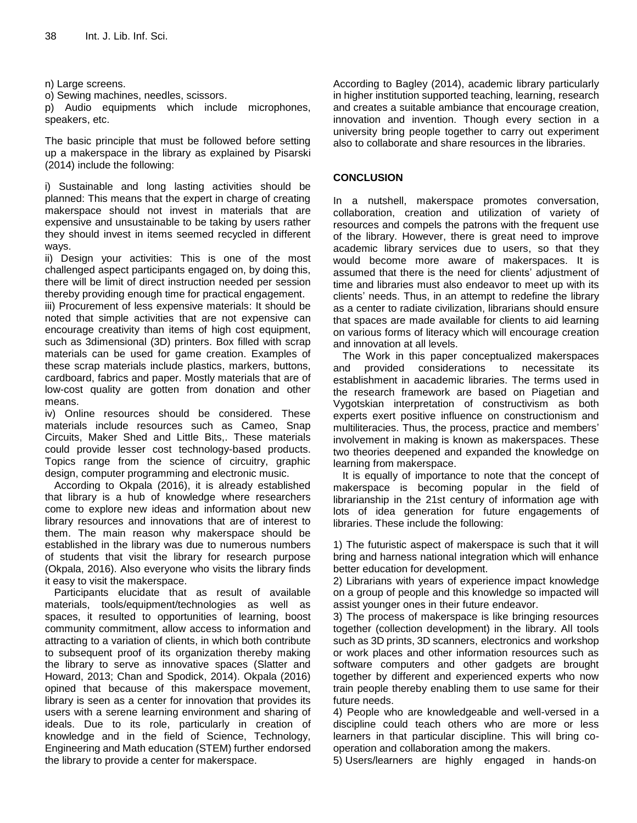n) Large screens.

o) Sewing machines, needles, scissors.

p) Audio equipments which include microphones, speakers, etc.

The basic principle that must be followed before setting up a makerspace in the library as explained by Pisarski (2014) include the following:

i) Sustainable and long lasting activities should be planned: This means that the expert in charge of creating makerspace should not invest in materials that are expensive and unsustainable to be taking by users rather they should invest in items seemed recycled in different ways.

ii) Design your activities: This is one of the most challenged aspect participants engaged on, by doing this, there will be limit of direct instruction needed per session thereby providing enough time for practical engagement.

iii) Procurement of less expensive materials: It should be noted that simple activities that are not expensive can encourage creativity than items of high cost equipment, such as 3dimensional (3D) printers. Box filled with scrap materials can be used for game creation. Examples of these scrap materials include plastics, markers, buttons, cardboard, fabrics and paper. Mostly materials that are of low-cost quality are gotten from donation and other means.

iv) Online resources should be considered. These materials include resources such as Cameo, Snap Circuits, Maker Shed and Little Bits,. These materials could provide lesser cost technology-based products. Topics range from the science of circuitry, graphic design, computer programming and electronic music.

According to Okpala (2016), it is already established that library is a hub of knowledge where researchers come to explore new ideas and information about new library resources and innovations that are of interest to them. The main reason why makerspace should be established in the library was due to numerous numbers of students that visit the library for research purpose (Okpala, 2016). Also everyone who visits the library finds it easy to visit the makerspace.

Participants elucidate that as result of available materials, tools/equipment/technologies as well as spaces, it resulted to opportunities of learning, boost community commitment, allow access to information and attracting to a variation of clients, in which both contribute to subsequent proof of its organization thereby making the library to serve as innovative spaces (Slatter and Howard, 2013; Chan and Spodick, 2014). Okpala (2016) opined that because of this makerspace movement, library is seen as a center for innovation that provides its users with a serene learning environment and sharing of ideals. Due to its role, particularly in creation of knowledge and in the field of Science, Technology, Engineering and Math education (STEM) further endorsed the library to provide a center for makerspace.

According to Bagley (2014), academic library particularly in higher institution supported teaching, learning, research and creates a suitable ambiance that encourage creation, innovation and invention. Though every section in a university bring people together to carry out experiment also to collaborate and share resources in the libraries.

## **CONCLUSION**

In a nutshell, makerspace promotes conversation, collaboration, creation and utilization of variety of resources and compels the patrons with the frequent use of the library. However, there is great need to improve academic library services due to users, so that they would become more aware of makerspaces. It is assumed that there is the need for clients' adjustment of time and libraries must also endeavor to meet up with its clients" needs. Thus, in an attempt to redefine the library as a center to radiate civilization, librarians should ensure that spaces are made available for clients to aid learning on various forms of literacy which will encourage creation and innovation at all levels.

The Work in this paper conceptualized makerspaces and provided considerations to necessitate its establishment in aacademic libraries. The terms used in the research framework are based on Piagetian and Vygotskian interpretation of constructivism as both experts exert positive influence on constructionism and multiliteracies. Thus, the process, practice and members" involvement in making is known as makerspaces. These two theories deepened and expanded the knowledge on learning from makerspace.

It is equally of importance to note that the concept of makerspace is becoming popular in the field of librarianship in the 21st century of information age with lots of idea generation for future engagements of libraries. These include the following:

1) The futuristic aspect of makerspace is such that it will bring and harness national integration which will enhance better education for development.

2) Librarians with years of experience impact knowledge on a group of people and this knowledge so impacted will assist younger ones in their future endeavor.

3) The process of makerspace is like bringing resources together (collection development) in the library. All tools such as 3D prints, 3D scanners, electronics and workshop or work places and other information resources such as software computers and other gadgets are brought together by different and experienced experts who now train people thereby enabling them to use same for their future needs.

4) People who are knowledgeable and well-versed in a discipline could teach others who are more or less learners in that particular discipline. This will bring cooperation and collaboration among the makers.

5) Users/learners are highly engaged in hands-on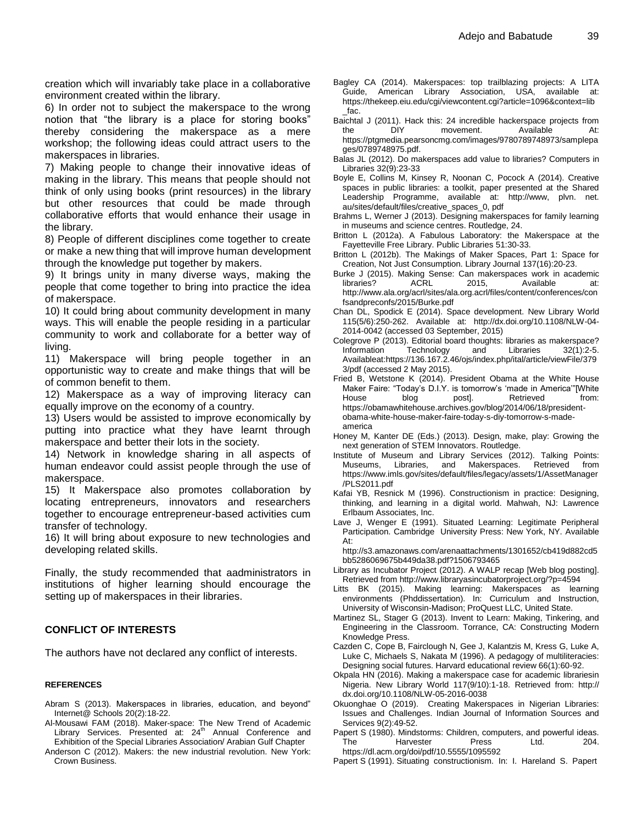creation which will invariably take place in a collaborative environment created within the library.

6) In order not to subject the makerspace to the wrong notion that "the library is a place for storing books" thereby considering the makerspace as a mere workshop; the following ideas could attract users to the makerspaces in libraries.

7) Making people to change their innovative ideas of making in the library. This means that people should not think of only using books (print resources) in the library but other resources that could be made through collaborative efforts that would enhance their usage in the library.

8) People of different disciplines come together to create or make a new thing that will improve human development through the knowledge put together by makers.

9) It brings unity in many diverse ways, making the people that come together to bring into practice the idea of makerspace.

10) It could bring about community development in many ways. This will enable the people residing in a particular community to work and collaborate for a better way of living.

11) Makerspace will bring people together in an opportunistic way to create and make things that will be of common benefit to them.

12) Makerspace as a way of improving literacy can equally improve on the economy of a country.

13) Users would be assisted to improve economically by putting into practice what they have learnt through makerspace and better their lots in the society.

14) Network in knowledge sharing in all aspects of human endeavor could assist people through the use of makerspace.

15) It Makerspace also promotes collaboration by locating entrepreneurs, innovators and researchers together to encourage entrepreneur-based activities cum transfer of technology.

16) It will bring about exposure to new technologies and developing related skills.

Finally, the study recommended that aadministrators in institutions of higher learning should encourage the setting up of makerspaces in their libraries.

#### **CONFLICT OF INTERESTS**

The authors have not declared any conflict of interests.

#### **REFERENCES**

- Abram S (2013). Makerspaces in libraries, education, and beyond" Internet@ Schools 20(2):18-22.
- Al-Mousawi FAM (2018). Maker-space: The New Trend of Academic Library Services. Presented at: 24<sup>th</sup> Annual Conference and Exhibition of the Special Libraries Association/ Arabian Gulf Chapter
- Anderson C (2012). Makers: the new industrial revolution. New York: Crown Business.
- Bagley CA (2014). Makerspaces: top trailblazing projects: A LITA Guide, American Library Association, USA, available at: [https://thekeep.eiu.edu/cgi/viewcontent.cgi?article=1096&context=lib](https://thekeep.eiu.edu/cgi/viewcontent.cgi?article=1096&context=lib_fac) [\\_fac.](https://thekeep.eiu.edu/cgi/viewcontent.cgi?article=1096&context=lib_fac)
- Baichtal J (2011). Hack this: 24 incredible hackerspace projects from the DIY movement. Available At: [https://ptgmedia.pearsoncmg.com/images/9780789748973/samplepa](https://ptgmedia.pearsoncmg.com/images/9780789748973/samplepages/0789748975.pdf) [ges/0789748975.pdf.](https://ptgmedia.pearsoncmg.com/images/9780789748973/samplepages/0789748975.pdf)
- Balas JL (2012). Do makerspaces add value to libraries? Computers in Libraries 32(9):23-33
- Boyle E, Collins M, Kinsey R, Noonan C, Pocock A (2014). Creative spaces in public libraries: a toolkit, paper presented at the Shared Leadership Programme, available at: http://www, plvn. net. au/sites/default/files/creative\_spaces\_0, pdf
- Brahms L, Werner J (2013). Designing makerspaces for family learning in museums and science centres. Routledge, 24.
- Britton L (2012a). A Fabulous Laboratory: the Makerspace at the Fayetteville Free Library. Public Libraries 51:30-33.
- Britton L (2012b). The Makings of Maker Spaces, Part 1: Space for Creation, Not Just Consumption. Library Journal 137(16):20-23.
- Burke J (2015). Making Sense: Can makerspaces work in academic libraries? ACRL 2015, Available at: http://www.ala.org/acrl/sites/ala.org.acrl/files/content/conferences/con fsandpreconfs/2015/Burke.pdf
- Chan DL, Spodick E (2014). Space development. New Library World 115(5/6):250-262. Available at: http://dx.doi.org/10.1108/NLW-04- 2014-0042 (accessed 03 September, 2015)
- Colegrove P (2013). Editorial board thoughts: libraries as makerspace? Information Technology and Libraries 32(1):2-5. Availableat:https://136.167.2.46/ojs/index.php/ital/article/viewFile/379 3/pdf (accessed 2 May 2015).
- Fried B, Wetstone K (2014). President Obama at the White House Maker Faire: "Today's D.I.Y. is tomorrow's 'made in America'"[White House blog post]. Retrieved from: [https://obamawhitehouse.archives.gov/blog/2014/06/18/president](https://obamawhitehouse.archives.gov/blog/2014/06/18/president-obama-white-house-maker-faire-today-s-diy-tomorrow-s-made-america)[obama-white-house-maker-faire-today-s-diy-tomorrow-s-made](https://obamawhitehouse.archives.gov/blog/2014/06/18/president-obama-white-house-maker-faire-today-s-diy-tomorrow-s-made-america)[america](https://obamawhitehouse.archives.gov/blog/2014/06/18/president-obama-white-house-maker-faire-today-s-diy-tomorrow-s-made-america)
- Honey M, Kanter DE (Eds.) (2013). Design, make, play: Growing the next generation of STEM Innovators. Routledge.
- Institute of Museum and Library Services (2012). Talking Points: Museums, Libraries, and Makerspaces. Retrieved from https://www.imls.gov/sites/default/files/legacy/assets/1/AssetManager /PLS2011.pdf
- Kafai YB, Resnick M (1996). Constructionism in practice: Designing, thinking, and learning in a digital world. Mahwah, NJ: Lawrence Erlbaum Associates, Inc.
- Lave J, Wenger E (1991). Situated Learning: Legitimate Peripheral Participation. Cambridge University Press: New York, NY. Available At:

http://s3.amazonaws.com/arenaattachments/1301652/cb419d882cd5 bb5286069675b449da38.pdf?1506793465

- Library as Incubator Project (2012). A WALP recap [Web blog posting]. Retrieved from <http://www.libraryasincubatorproject.org/?p=4594>
- Litts BK (2015). Making learning: Makerspaces as learning environments (Phddissertation). In: Curriculum and Instruction, University of Wisconsin-Madison; ProQuest LLC, United State.
- Martinez SL, Stager G (2013). Invent to Learn: Making, Tinkering, and Engineering in the Classroom. Torrance, CA: Constructing Modern Knowledge Press.
- Cazden C, Cope B, Fairclough N, Gee J, Kalantzis M, Kress G, Luke A, Luke C, Michaels S, Nakata M (1996). A pedagogy of multiliteracies: Designing social futures. Harvard educational review 66(1):60-92.
- Okpala HN (2016). Making a makerspace case for academic librariesin Nigeria. New Library World 117(9/10):1-18. Retrieved from: http:// dx.doi.org/10.1108/NLW-05-2016-0038
- Okuonghae O (2019). Creating Makerspaces in Nigerian Libraries: Issues and Challenges. Indian Journal of Information Sources and Services 9(2):49-52.
- Papert S (1980). Mindstorms: Children, computers, and powerful ideas. The Harvester Press Ltd. 204. https://dl.acm.org/doi/pdf/10.5555/1095592
- Papert S (1991). Situating constructionism. In: I. Hareland S. Papert